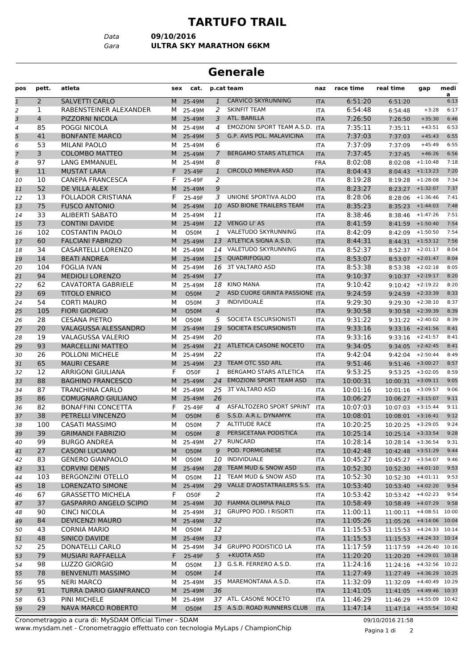## **TARTUFO TRAIL**

*Data* **09/10/2016**

*Gara* **ULTRA SKY MARATHON 66KM**

## **Generale**

| pos            | pett.          | atleta                        | sex | cat.        |                | p.cat team                     | naz        | race time | real time                 | gap                | medi<br>a |
|----------------|----------------|-------------------------------|-----|-------------|----------------|--------------------------------|------------|-----------|---------------------------|--------------------|-----------|
| $\mathbf{1}$   | $\overline{2}$ | <b>SALVETTI CARLO</b>         | M   | 25-49M      | $\mathbf{1}$   | <b>CARVICO SKYRUNNING</b>      | <b>ITA</b> | 6:51:20   | 6:51:20                   |                    | 6:13      |
| 2              | 1              | RABENSTEINER ALEXANDER        | м   | 25-49M      | 2              | <b>SKINFIT TEAM</b>            | <b>ITA</b> | 6:54:48   | 6:54:48                   | $+3:28$            | 6:17      |
| 3              | 4              | PIZZORNI NICOLA               | M.  | 25-49M      | 3              | ATL. BARILLA                   | <b>ITA</b> | 7:26:50   | 7:26:50                   | $+35:30$           | 6:46      |
| 4              | 85             | POGGI NICOLA                  | м   | 25-49M      | 4              | EMOZIONI SPORT TEAM A.S.D. ITA |            | 7:35:11   | 7:35:11                   | $+43:51$           | 6:53      |
| 5              | 41             | <b>BONFANTE MARCO</b>         |     | M 25-49M    | 5              | G.P. AVIS POL. MALAVICINA      | <b>ITA</b> | 7:37:03   | 7:37:03                   | $+45:43$           | 6:55      |
| 6              | 53             | <b>MILANI PAOLO</b>           | м   | 25-49M      | 6              |                                | ITA        | 7:37:09   | 7:37:09                   | $+45:49$           | 6:55      |
| $\overline{7}$ | 3              | <b>COLOMBO MATTEO</b>         | M   | 25-49M      | $\overline{7}$ | <b>BERGAMO STARS ATLETICA</b>  | <b>ITA</b> | 7:37:45   | 7:37:45                   | $+46:26$           | 6:56      |
| 8              | 97             | LANG EMMANUEL                 | M   | 25-49M      | 8              |                                | <b>FRA</b> | 8:02:08   | 8:02:08                   | $+1:10:48$         | 7:18      |
| 9              | 11             | <b>MUSTAT LARA</b>            | F   | 25-49F      | $\mathbf{1}$   | <b>CIRCOLO MINERVA ASD</b>     | <b>ITA</b> | 8:04:43   | 8:04:43                   | $+1:13:23$         | 7:20      |
| 10             | 10             | <b>CANEPA FRANCESCA</b>       | F   | 25-49F      | 2              |                                | <b>ITA</b> | 8:19:28   | 8:19:28                   | $+1:28:08$         | 7:34      |
| 11             | 52             | DE VILLA ALEX                 |     | M 25-49M    | 9              |                                | <b>ITA</b> | 8:23:27   | 8:23:27                   | $+1:32:07$         | 7:37      |
| 12             | 13             | <b>FOLLADOR CRISTIANA</b>     | F   | 25-49F      | 3              | UNIONE SPORTIVA ALDO           | <b>ITA</b> | 8:28:06   | 8:28:06                   | $+1:36:46$         | 7:41      |
| 13             | 75             | <b>FUSCO ANTONIO</b>          | M   | 25-49M      | 10             | ASD BIONE TRAILERS TEAM        | <b>ITA</b> | 8:35:23   | 8:35:23                   | $+1:44:03$         | 7:48      |
| 14             | 33             | <b>ALIBERTI SABATO</b>        | м   | 25-49M      | 11             |                                | <b>ITA</b> | 8:38:46   | 8:38:46                   | $+1:47:26$         | 7:51      |
| 15             | 73             | <b>CONTINI DAVIDE</b>         | M   | 25-49M      |                | 12 VENGO LI' AS                | <b>ITA</b> | 8:41:59   | 8:41:59                   | $+1:50:40$         | 7:54      |
| 16             | 102            | <b>COSTANTIN PAOLO</b>        | м   | <b>O50M</b> | 1              | VALETUDO SKYRUNNING            | <b>ITA</b> | 8:42:09   | 8:42:09                   | $+1:50:50$         | 7:54      |
| 17             | 60             | <b>FALCIANI FABRIZIO</b>      |     | M 25-49M    |                | 13 ATLETICA SIGNA A.S.D.       | <b>ITA</b> | 8:44:31   |                           | $8:44:31$ +1:53:12 | 7:56      |
| 18             | 34             | <b>CASARTELLI LORENZO</b>     | м   | 25-49M      |                | 14 VALETUDO SKYRUNNING         | <b>ITA</b> | 8:52:37   |                           | $8:52:37$ +2:01:17 | 8:04      |
| 19             | 14             | <b>BEATI ANDREA</b>           | M   | 25-49M      | 15             | QUADRIFOGLIO                   | <b>ITA</b> | 8:53:07   | 8:53:07                   | $+2:01:47$         | 8:04      |
| 20             | 104            | <b>FOGLIA IVAN</b>            | м   | 25-49M      |                | 16 3T VALTARO ASD              | <b>ITA</b> | 8:53:38   | 8:53:38                   | $+2:02:18$         | 8:05      |
| 21             | 94             | <b>MEDIOLI LORENZO</b>        | M   | 25-49M      | 17             |                                | <b>ITA</b> | 9:10:37   | 9:10:37                   | $+2:19:17$         | 8:20      |
| 22             | 62             | <b>CAVATORTA GABRIELE</b>     | м   | 25-49M      | 18             | <b>KINO MANA</b>               | <b>ITA</b> | 9:10:42   |                           | $9:10:42$ +2:19:22 | 8:20      |
| 23             | 69             | <b>TITOLO ENRICO</b>          | M   | <b>O50M</b> | 2              | ASD CUORE GRINTA PASSIONE ITA  |            | 9:24:59   |                           | $9:24:59$ +2:33:39 | 8:33      |
| 24             | 54             | <b>CORTI MAURO</b>            | М   | O50M        | 3              | <b>INDIVIDUALE</b>             | <b>ITA</b> | 9:29:30   |                           | $9:29:30$ +2:38:10 | 8:37      |
| 25             | 105            | <b>FIORI GIORGIO</b>          | M   | <b>O50M</b> | $\overline{4}$ |                                | <b>ITA</b> | 9:30:58   | 9:30:58                   | $+2:39:39$         | 8:39      |
| 26             | 28             | <b>CESANA PIETRO</b>          | м   | <b>O50M</b> | 5              | SOCIETA ESCURSIONISTI          | <b>ITA</b> | 9:31:22   | 9:31:22                   | $+2:40:02$         | 8:39      |
| 27             | 20             | VALAGUSSA ALESSANDRO          | M   | 25-49M      | 19             | SOCIETA ESCURSIONISTI          | <b>ITA</b> | 9:33:16   | 9:33:16                   | $+2:41:56$         | 8:41      |
| 28             | 19             | VALAGUSSA VALERIO             | M   | 25-49M      | 20             |                                | <b>ITA</b> | 9:33:16   | 9:33:16                   | $+2:41:57$         | 8:41      |
| 29             | 93             | <b>MARCELLINI MATTEO</b>      | M   | 25-49M      |                | 21 ATLETICA CASONE NOCETO      | <b>ITA</b> | 9:34:05   | 9:34:05                   | $+2:42:45$         | 8:41      |
| 30             | 26             | <b>POLLONI MICHELE</b>        | м   | 25-49M      | 22             |                                | <b>ITA</b> | 9:42:04   | 9:42:04                   | $+2:50:44$         | 8:49      |
| 31             | 65             | <b>MAURI CESARE</b>           | M   | 25-49M      | 23             | TEAM OTC SSD ARL               | <b>ITA</b> | 9:51:46   | 9:51:46                   | $+3:00:27$         | 8:57      |
| 32             | 12             | <b>ARRIGONI GIULIANA</b>      | F   | O50F        | 1              | BERGAMO STARS ATLETICA         | <b>ITA</b> | 9:53:25   | 9:53:25                   | $+3:02:05$         | 8:59      |
| 33             | 88             | <b>BAGHINO FRANCESCO</b>      | M   | 25-49M      | 24             | <b>EMOZIONI SPORT TEAM ASD</b> | <b>ITA</b> | 10:00:31  | $10:00:31$ +3:09:11       |                    | 9:05      |
| 34             | 87             | <b>TRANCHINA CARLO</b>        | м   | 25-49M      |                | 25 3T VALTARO ASD              | <b>ITA</b> | 10:01:16  | $10:01:16$ +3:09:57       |                    | 9:06      |
| 35             | 86             | <b>COMUGNARO GIULIANO</b>     |     | M 25-49M    | 26             |                                | <b>ITA</b> | 10:06:27  | $10:06:27$ +3:15:07       |                    | 9:11      |
| 36             | 82             | <b>BONAFFINI CONCETTA</b>     | F   | 25-49F      | $\overline{4}$ | ASFALTOZERO SPORT SPRINT       | <b>ITA</b> | 10:07:03  | $10:07:03$ +3:15:44       |                    | 9:11      |
| 37             | 38             | PETRELLI VINCENZO             | M   | <b>O50M</b> | 6              | S.S.D. A.R.L. DYNAMYK          | <b>ITA</b> | 10:08:01  | 10:08:01                  | $+3:16:41$         | 9:12      |
| 38             | 100            | CASATI MASSIMO                | M   | <b>O50M</b> | 7              | <b>ALTITUDE RACE</b>           | <b>ITA</b> | 10:20:25  | 10:20:25                  | $+3:29:05$         | 9:24      |
| 39             | 39             | <b>GRIMANDI FABRIZIO</b>      | M   | <b>O50M</b> | 8              | PERSICETANA PODISTICA          | <b>ITA</b> | 10:25:14  | $10:25:14$ +3:33:54       |                    | 9:28      |
| 40             | 99             | <b>BURGO ANDREA</b>           | M   | 25-49M      |                | 27 RUNCARD                     | ITA        | 10:28:14  | $10:28:14$ +3:36:54       |                    | 9:31      |
| 41             | 27             | <b>CASONI LUCIANO</b>         | M   | O50M        | 9              | POD. FORMIGINESE               | <b>ITA</b> | 10:42:48  | $10:42:48$ +3:51:29       |                    | 9:44      |
| 42             | 83             | <b>GENERO GIANPAOLO</b>       | М   | O50M        | 10             | INDIVIDUALE                    | ITA        | 10:45:27  | $10:45:27$ +3:54:07       |                    | 9:46      |
| 43             | 31             | <b>CORVINI DENIS</b>          | M   | 25-49M      |                | 28 TEAM MUD & SNOW ASD         | <b>ITA</b> | 10:52:30  | 10:52:30                  | $+4:01:10$         | 9:53      |
| 44             | 103            | <b>BERGONZINI OTELLO</b>      | М   | O50M        |                | 11 TEAM MUD & SNOW ASD         | ITA        | 10:52:30  | 10:52:30                  | $+4:01:11$         | 9:53      |
| 45             | 18             | LORENZATO SIMONE              | M   | 25-49M      | 29             | VALLE D'AOSTATRAILERS S.S.     | <b>ITA</b> | 10:53:40  | 10:53:40                  | $+4:02:20$         | 9:54      |
| 46             | 67             | <b>GRASSETTO MICHELA</b>      | F   | O50F        | 2              |                                | ITA        | 10:53:42  | $10:53:42 +4:02:23$       |                    | 9:54      |
| 47             | 37             | <b>GASPARRO ANGELO SCIPIO</b> |     | M 25-49M    |                | 30 FIAMMA OLIMPIA PALO         | <b>ITA</b> | 10:58:49  | 10:58:49 +4:07:29         |                    | 9:58      |
| 48             | 90             | CINCI NICOLA                  | M   | 25-49M      |                | 31 GRUPPO POD. I RISORTI       | ITA        | 11:00:11  | $11:00:11$ +4:08:51 10:00 |                    |           |
| 49             | 84             | <b>DEVICENZI MAURO</b>        | M   | 25-49M      | 32             |                                | <b>ITA</b> | 11:05:26  | 11:05:26                  | $+4:14:06$ 10:04   |           |
| 50             | 43             | <b>CORNIA MARIO</b>           | М   | O50M        | 12             |                                | ITA        | 11:15:53  | 11:15:53                  | $+4:24:33$ 10:14   |           |
| 51             | 48             | SINICO DAVIDE                 | M   | 25-49M      | 33             |                                | <b>ITA</b> | 11:15:53  | 11:15:53 +4:24:33 10:14   |                    |           |
| 52             | 25             | DONATELLI CARLO               | M   | 25-49M      |                | 34 GRUPPO PODISTICO LA         | ITA        | 11:17:59  | 11:17:59 +4:26:40 10:16   |                    |           |
| 53             | 79             | MUSIARI RAFFAELLA             | F   | 25-49F      |                | 5 +KUOTA ASD                   | <b>ITA</b> | 11:20:20  | 11:20:20 +4:29:01 10:18   |                    |           |
| 54             | 98             | LUZZO GIORGIO                 | м   | O50M        | 13             | G.S.R. FERRERO A.S.D.          | ITA        | 11:24:16  | 11:24:16 +4:32:56 10:22   |                    |           |
| 55             | 78             | <b>BENVENUTI MASSIMO</b>      | M   | O50M        | 14             |                                | <b>ITA</b> | 11:27:49  | 11:27:49                  | +4:36:29 10:25     |           |
| 56             | 95             | <b>NERI MARCO</b>             | М   | 25-49M      | 35             | MAREMONTANA A.S.D.             | ITA        | 11:32:09  | 11:32:09                  | +4:40:49 10:29     |           |
| 57             | 91             | TURRA DARIO GIANFRANCO        | M   | 25-49M      | 36             |                                | <b>ITA</b> | 11:41:05  | 11:41:05                  | $+4:49:46$ 10:37   |           |
| 58             | 63             | PINI MICHELE                  | м   | 25-49M      |                | 37 ATL. CASONE NOCETO          | ITA        | 11:46:29  | 11:46:29                  | $+4:55:09$ 10:42   |           |
| 59             | 29             | <b>NAVA MARCO ROBERTO</b>     | M   | O50M        |                | 15 A.S.D. ROAD RUNNERS CLUB    | <b>ITA</b> | 11:47:14  | $11:47:14$ +4:55:54 10:42 |                    |           |

www.mysdam.net - Cronometraggio effettuato con tecnologia MyLaps / ChampionChip Cronometraggio a cura di: MySDAM Official Timer - SDAM 09/10/2016 21:58

Pagina 1 di 2